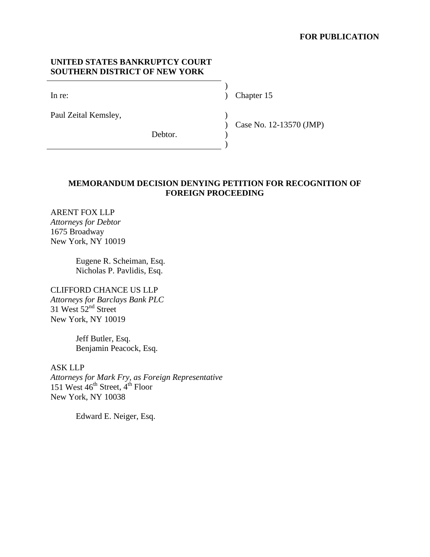## **FOR PUBLICATION**

## **UNITED STATES BANKRUPTCY COURT SOUTHERN DISTRICT OF NEW YORK**

 $)$ 

 $)$ 

Paul Zeital Kemsley, )

In re: (a) Chapter 15 (a) Chapter 15

Debtor.

Case No. 12-13570 (JMP)

# **MEMORANDUM DECISION DENYING PETITION FOR RECOGNITION OF FOREIGN PROCEEDING**

 $\lambda$ )

ARENT FOX LLP *Attorneys for Debtor* 1675 Broadway New York, NY 10019

> Eugene R. Scheiman, Esq. Nicholas P. Pavlidis, Esq.

CLIFFORD CHANCE US LLP *Attorneys for Barclays Bank PLC* 31 West  $52<sup>nd</sup>$  Street New York, NY 10019

> Jeff Butler, Esq. Benjamin Peacock, Esq.

ASK LLP *Attorneys for Mark Fry, as Foreign Representative* 151 West  $46^{th}$  Street,  $4^{th}$  Floor New York, NY 10038

Edward E. Neiger, Esq.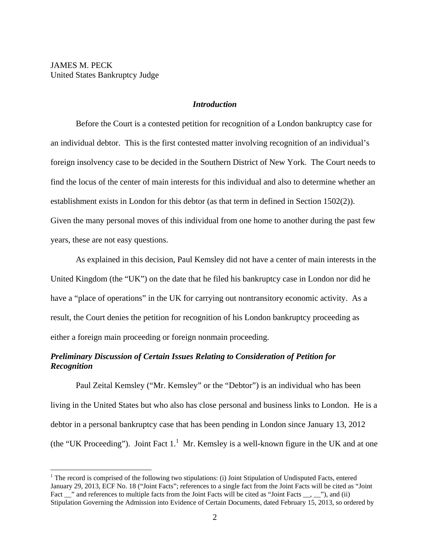$\overline{a}$ 

### *Introduction*

Before the Court is a contested petition for recognition of a London bankruptcy case for an individual debtor. This is the first contested matter involving recognition of an individual's foreign insolvency case to be decided in the Southern District of New York. The Court needs to find the locus of the center of main interests for this individual and also to determine whether an establishment exists in London for this debtor (as that term in defined in Section 1502(2)). Given the many personal moves of this individual from one home to another during the past few years, these are not easy questions.

As explained in this decision, Paul Kemsley did not have a center of main interests in the United Kingdom (the "UK") on the date that he filed his bankruptcy case in London nor did he have a "place of operations" in the UK for carrying out nontransitory economic activity. As a result, the Court denies the petition for recognition of his London bankruptcy proceeding as either a foreign main proceeding or foreign nonmain proceeding.

# *Preliminary Discussion of Certain Issues Relating to Consideration of Petition for Recognition*

Paul Zeital Kemsley ("Mr. Kemsley" or the "Debtor") is an individual who has been living in the United States but who also has close personal and business links to London. He is a debtor in a personal bankruptcy case that has been pending in London since January 13, 2012 (the "UK Proceeding"). Joint Fact  $1<sup>1</sup>$  Mr. Kemsley is a well-known figure in the UK and at one

 $1$  The record is comprised of the following two stipulations: (i) Joint Stipulation of Undisputed Facts, entered January 29, 2013, ECF No. 18 ("Joint Facts"; references to a single fact from the Joint Facts will be cited as "Joint Fact \_\_" and references to multiple facts from the Joint Facts will be cited as "Joint Facts \_\_, \_\_"), and (ii) Stipulation Governing the Admission into Evidence of Certain Documents, dated February 15, 2013, so ordered by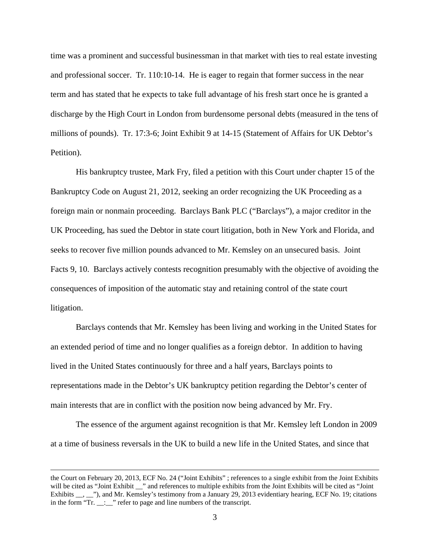time was a prominent and successful businessman in that market with ties to real estate investing and professional soccer. Tr. 110:10-14. He is eager to regain that former success in the near term and has stated that he expects to take full advantage of his fresh start once he is granted a discharge by the High Court in London from burdensome personal debts (measured in the tens of millions of pounds). Tr. 17:3-6; Joint Exhibit 9 at 14-15 (Statement of Affairs for UK Debtor's Petition).

His bankruptcy trustee, Mark Fry, filed a petition with this Court under chapter 15 of the Bankruptcy Code on August 21, 2012, seeking an order recognizing the UK Proceeding as a foreign main or nonmain proceeding. Barclays Bank PLC ("Barclays"), a major creditor in the UK Proceeding, has sued the Debtor in state court litigation, both in New York and Florida, and seeks to recover five million pounds advanced to Mr. Kemsley on an unsecured basis. Joint Facts 9, 10. Barclays actively contests recognition presumably with the objective of avoiding the consequences of imposition of the automatic stay and retaining control of the state court litigation.

Barclays contends that Mr. Kemsley has been living and working in the United States for an extended period of time and no longer qualifies as a foreign debtor. In addition to having lived in the United States continuously for three and a half years, Barclays points to representations made in the Debtor's UK bankruptcy petition regarding the Debtor's center of main interests that are in conflict with the position now being advanced by Mr. Fry.

The essence of the argument against recognition is that Mr. Kemsley left London in 2009 at a time of business reversals in the UK to build a new life in the United States, and since that

the Court on February 20, 2013, ECF No. 24 ("Joint Exhibits" ; references to a single exhibit from the Joint Exhibits will be cited as "Joint Exhibit \_\_" and references to multiple exhibits from the Joint Exhibits will be cited as "Joint Exhibits \_\_, \_\_"), and Mr. Kemsley's testimony from a January 29, 2013 evidentiary hearing, ECF No. 19; citations in the form "Tr. \_\_:\_\_" refer to page and line numbers of the transcript.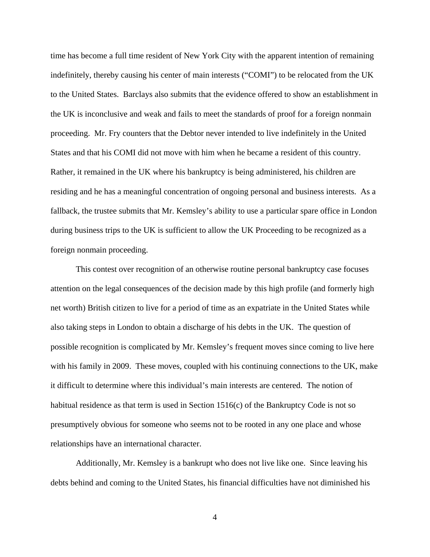time has become a full time resident of New York City with the apparent intention of remaining indefinitely, thereby causing his center of main interests ("COMI") to be relocated from the UK to the United States. Barclays also submits that the evidence offered to show an establishment in the UK is inconclusive and weak and fails to meet the standards of proof for a foreign nonmain proceeding. Mr. Fry counters that the Debtor never intended to live indefinitely in the United States and that his COMI did not move with him when he became a resident of this country. Rather, it remained in the UK where his bankruptcy is being administered, his children are residing and he has a meaningful concentration of ongoing personal and business interests. As a fallback, the trustee submits that Mr. Kemsley's ability to use a particular spare office in London during business trips to the UK is sufficient to allow the UK Proceeding to be recognized as a foreign nonmain proceeding.

This contest over recognition of an otherwise routine personal bankruptcy case focuses attention on the legal consequences of the decision made by this high profile (and formerly high net worth) British citizen to live for a period of time as an expatriate in the United States while also taking steps in London to obtain a discharge of his debts in the UK. The question of possible recognition is complicated by Mr. Kemsley's frequent moves since coming to live here with his family in 2009. These moves, coupled with his continuing connections to the UK, make it difficult to determine where this individual's main interests are centered. The notion of habitual residence as that term is used in Section  $1516(c)$  of the Bankruptcy Code is not so presumptively obvious for someone who seems not to be rooted in any one place and whose relationships have an international character.

Additionally, Mr. Kemsley is a bankrupt who does not live like one. Since leaving his debts behind and coming to the United States, his financial difficulties have not diminished his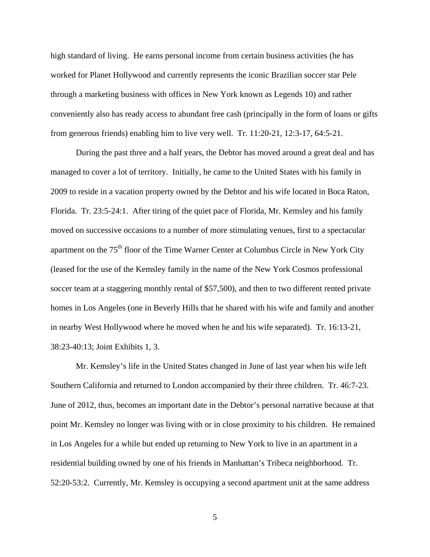high standard of living. He earns personal income from certain business activities (he has worked for Planet Hollywood and currently represents the iconic Brazilian soccer star Pele through a marketing business with offices in New York known as Legends 10) and rather conveniently also has ready access to abundant free cash (principally in the form of loans or gifts from generous friends) enabling him to live very well. Tr. 11:20-21, 12:3-17, 64:5-21.

During the past three and a half years, the Debtor has moved around a great deal and has managed to cover a lot of territory. Initially, he came to the United States with his family in 2009 to reside in a vacation property owned by the Debtor and his wife located in Boca Raton, Florida. Tr. 23:5-24:1. After tiring of the quiet pace of Florida, Mr. Kemsley and his family moved on successive occasions to a number of more stimulating venues, first to a spectacular apartment on the 75<sup>th</sup> floor of the Time Warner Center at Columbus Circle in New York City (leased for the use of the Kemsley family in the name of the New York Cosmos professional soccer team at a staggering monthly rental of \$57,500), and then to two different rented private homes in Los Angeles (one in Beverly Hills that he shared with his wife and family and another in nearby West Hollywood where he moved when he and his wife separated). Tr. 16:13-21, 38:23-40:13; Joint Exhibits 1, 3.

Mr. Kemsley's life in the United States changed in June of last year when his wife left Southern California and returned to London accompanied by their three children. Tr. 46:7-23. June of 2012, thus, becomes an important date in the Debtor's personal narrative because at that point Mr. Kemsley no longer was living with or in close proximity to his children. He remained in Los Angeles for a while but ended up returning to New York to live in an apartment in a residential building owned by one of his friends in Manhattan's Tribeca neighborhood. Tr. 52:20-53:2. Currently, Mr. Kemsley is occupying a second apartment unit at the same address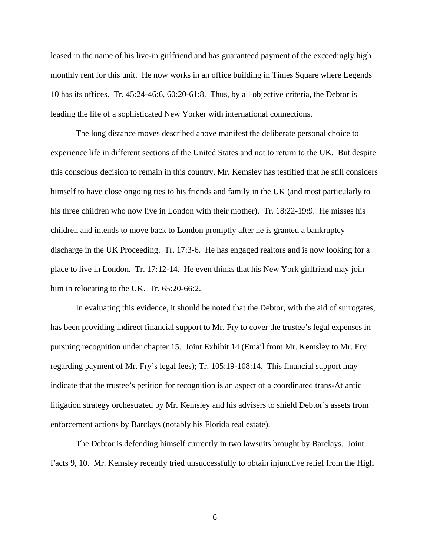leased in the name of his live-in girlfriend and has guaranteed payment of the exceedingly high monthly rent for this unit. He now works in an office building in Times Square where Legends 10 has its offices. Tr. 45:24-46:6, 60:20-61:8. Thus, by all objective criteria, the Debtor is leading the life of a sophisticated New Yorker with international connections.

The long distance moves described above manifest the deliberate personal choice to experience life in different sections of the United States and not to return to the UK. But despite this conscious decision to remain in this country, Mr. Kemsley has testified that he still considers himself to have close ongoing ties to his friends and family in the UK (and most particularly to his three children who now live in London with their mother). Tr. 18:22-19:9. He misses his children and intends to move back to London promptly after he is granted a bankruptcy discharge in the UK Proceeding. Tr. 17:3-6. He has engaged realtors and is now looking for a place to live in London. Tr. 17:12-14. He even thinks that his New York girlfriend may join him in relocating to the UK. Tr. 65:20-66:2.

In evaluating this evidence, it should be noted that the Debtor, with the aid of surrogates, has been providing indirect financial support to Mr. Fry to cover the trustee's legal expenses in pursuing recognition under chapter 15. Joint Exhibit 14 (Email from Mr. Kemsley to Mr. Fry regarding payment of Mr. Fry's legal fees); Tr. 105:19-108:14. This financial support may indicate that the trustee's petition for recognition is an aspect of a coordinated trans-Atlantic litigation strategy orchestrated by Mr. Kemsley and his advisers to shield Debtor's assets from enforcement actions by Barclays (notably his Florida real estate).

The Debtor is defending himself currently in two lawsuits brought by Barclays. Joint Facts 9, 10. Mr. Kemsley recently tried unsuccessfully to obtain injunctive relief from the High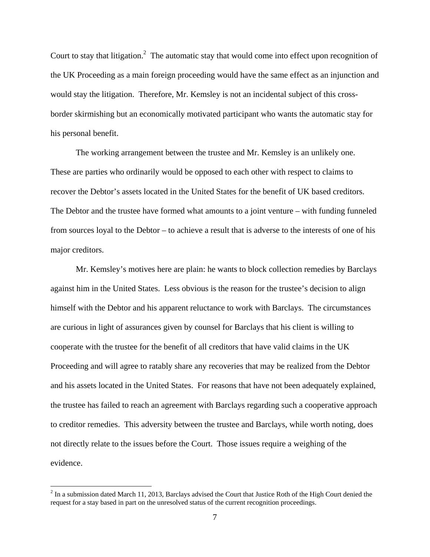Court to stay that litigation.<sup>2</sup> The automatic stay that would come into effect upon recognition of the UK Proceeding as a main foreign proceeding would have the same effect as an injunction and would stay the litigation. Therefore, Mr. Kemsley is not an incidental subject of this crossborder skirmishing but an economically motivated participant who wants the automatic stay for his personal benefit.

The working arrangement between the trustee and Mr. Kemsley is an unlikely one. These are parties who ordinarily would be opposed to each other with respect to claims to recover the Debtor's assets located in the United States for the benefit of UK based creditors. The Debtor and the trustee have formed what amounts to a joint venture – with funding funneled from sources loyal to the Debtor – to achieve a result that is adverse to the interests of one of his major creditors.

Mr. Kemsley's motives here are plain: he wants to block collection remedies by Barclays against him in the United States. Less obvious is the reason for the trustee's decision to align himself with the Debtor and his apparent reluctance to work with Barclays. The circumstances are curious in light of assurances given by counsel for Barclays that his client is willing to cooperate with the trustee for the benefit of all creditors that have valid claims in the UK Proceeding and will agree to ratably share any recoveries that may be realized from the Debtor and his assets located in the United States. For reasons that have not been adequately explained, the trustee has failed to reach an agreement with Barclays regarding such a cooperative approach to creditor remedies. This adversity between the trustee and Barclays, while worth noting, does not directly relate to the issues before the Court. Those issues require a weighing of the evidence.

 $2^2$  In a submission dated March 11, 2013, Barclays advised the Court that Justice Roth of the High Court denied the request for a stay based in part on the unresolved status of the current recognition proceedings.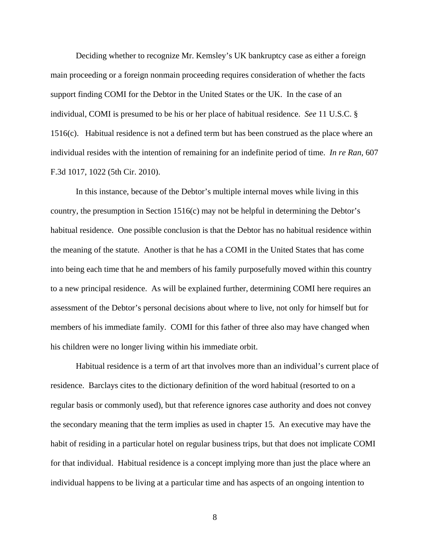Deciding whether to recognize Mr. Kemsley's UK bankruptcy case as either a foreign main proceeding or a foreign nonmain proceeding requires consideration of whether the facts support finding COMI for the Debtor in the United States or the UK. In the case of an individual, COMI is presumed to be his or her place of habitual residence. *See* 11 U.S.C. § 1516(c). Habitual residence is not a defined term but has been construed as the place where an individual resides with the intention of remaining for an indefinite period of time. *In re Ran*, 607 F.3d 1017, 1022 (5th Cir. 2010).

In this instance, because of the Debtor's multiple internal moves while living in this country, the presumption in Section 1516(c) may not be helpful in determining the Debtor's habitual residence. One possible conclusion is that the Debtor has no habitual residence within the meaning of the statute. Another is that he has a COMI in the United States that has come into being each time that he and members of his family purposefully moved within this country to a new principal residence. As will be explained further, determining COMI here requires an assessment of the Debtor's personal decisions about where to live, not only for himself but for members of his immediate family. COMI for this father of three also may have changed when his children were no longer living within his immediate orbit.

Habitual residence is a term of art that involves more than an individual's current place of residence. Barclays cites to the dictionary definition of the word habitual (resorted to on a regular basis or commonly used), but that reference ignores case authority and does not convey the secondary meaning that the term implies as used in chapter 15. An executive may have the habit of residing in a particular hotel on regular business trips, but that does not implicate COMI for that individual. Habitual residence is a concept implying more than just the place where an individual happens to be living at a particular time and has aspects of an ongoing intention to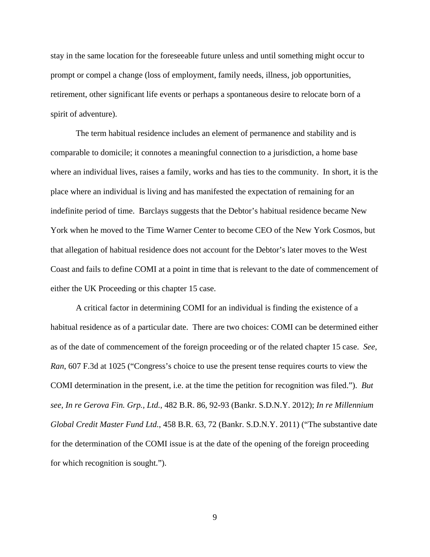stay in the same location for the foreseeable future unless and until something might occur to prompt or compel a change (loss of employment, family needs, illness, job opportunities, retirement, other significant life events or perhaps a spontaneous desire to relocate born of a spirit of adventure).

The term habitual residence includes an element of permanence and stability and is comparable to domicile; it connotes a meaningful connection to a jurisdiction, a home base where an individual lives, raises a family, works and has ties to the community. In short, it is the place where an individual is living and has manifested the expectation of remaining for an indefinite period of time. Barclays suggests that the Debtor's habitual residence became New York when he moved to the Time Warner Center to become CEO of the New York Cosmos, but that allegation of habitual residence does not account for the Debtor's later moves to the West Coast and fails to define COMI at a point in time that is relevant to the date of commencement of either the UK Proceeding or this chapter 15 case.

A critical factor in determining COMI for an individual is finding the existence of a habitual residence as of a particular date. There are two choices: COMI can be determined either as of the date of commencement of the foreign proceeding or of the related chapter 15 case. *See, Ran*, 607 F.3d at 1025 ("Congress's choice to use the present tense requires courts to view the COMI determination in the present, i.e. at the time the petition for recognition was filed."). *But see, In re Gerova Fin. Grp., Ltd.*, 482 B.R. 86, 92-93 (Bankr. S.D.N.Y. 2012); *In re Millennium Global Credit Master Fund Ltd.*, 458 B.R. 63, 72 (Bankr. S.D.N.Y. 2011) ("The substantive date for the determination of the COMI issue is at the date of the opening of the foreign proceeding for which recognition is sought.").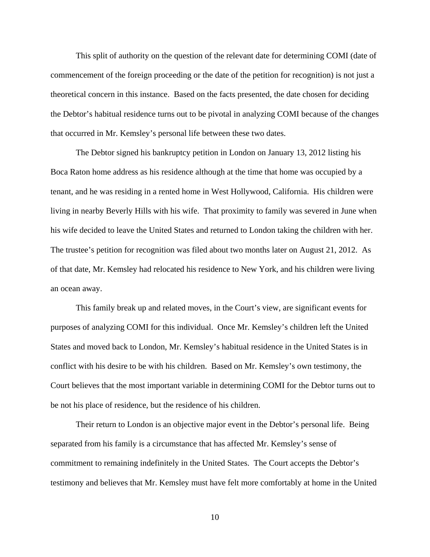This split of authority on the question of the relevant date for determining COMI (date of commencement of the foreign proceeding or the date of the petition for recognition) is not just a theoretical concern in this instance. Based on the facts presented, the date chosen for deciding the Debtor's habitual residence turns out to be pivotal in analyzing COMI because of the changes that occurred in Mr. Kemsley's personal life between these two dates.

The Debtor signed his bankruptcy petition in London on January 13, 2012 listing his Boca Raton home address as his residence although at the time that home was occupied by a tenant, and he was residing in a rented home in West Hollywood, California. His children were living in nearby Beverly Hills with his wife. That proximity to family was severed in June when his wife decided to leave the United States and returned to London taking the children with her. The trustee's petition for recognition was filed about two months later on August 21, 2012. As of that date, Mr. Kemsley had relocated his residence to New York, and his children were living an ocean away.

This family break up and related moves, in the Court's view, are significant events for purposes of analyzing COMI for this individual. Once Mr. Kemsley's children left the United States and moved back to London, Mr. Kemsley's habitual residence in the United States is in conflict with his desire to be with his children. Based on Mr. Kemsley's own testimony, the Court believes that the most important variable in determining COMI for the Debtor turns out to be not his place of residence, but the residence of his children.

Their return to London is an objective major event in the Debtor's personal life. Being separated from his family is a circumstance that has affected Mr. Kemsley's sense of commitment to remaining indefinitely in the United States. The Court accepts the Debtor's testimony and believes that Mr. Kemsley must have felt more comfortably at home in the United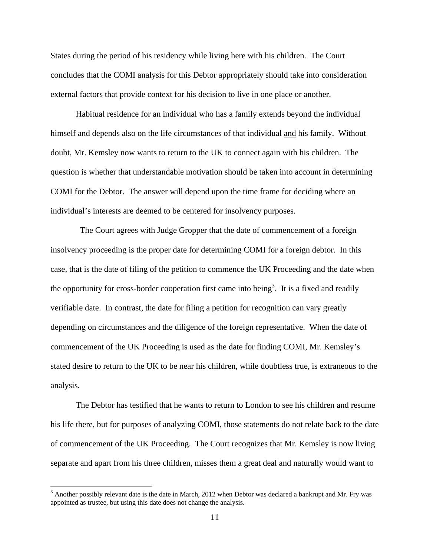States during the period of his residency while living here with his children. The Court concludes that the COMI analysis for this Debtor appropriately should take into consideration external factors that provide context for his decision to live in one place or another.

Habitual residence for an individual who has a family extends beyond the individual himself and depends also on the life circumstances of that individual and his family. Without doubt, Mr. Kemsley now wants to return to the UK to connect again with his children. The question is whether that understandable motivation should be taken into account in determining COMI for the Debtor. The answer will depend upon the time frame for deciding where an individual's interests are deemed to be centered for insolvency purposes.

 The Court agrees with Judge Gropper that the date of commencement of a foreign insolvency proceeding is the proper date for determining COMI for a foreign debtor. In this case, that is the date of filing of the petition to commence the UK Proceeding and the date when the opportunity for cross-border cooperation first came into being<sup>3</sup>. It is a fixed and readily verifiable date. In contrast, the date for filing a petition for recognition can vary greatly depending on circumstances and the diligence of the foreign representative. When the date of commencement of the UK Proceeding is used as the date for finding COMI, Mr. Kemsley's stated desire to return to the UK to be near his children, while doubtless true, is extraneous to the analysis.

The Debtor has testified that he wants to return to London to see his children and resume his life there, but for purposes of analyzing COMI, those statements do not relate back to the date of commencement of the UK Proceeding. The Court recognizes that Mr. Kemsley is now living separate and apart from his three children, misses them a great deal and naturally would want to

 $3$  Another possibly relevant date is the date in March, 2012 when Debtor was declared a bankrupt and Mr. Fry was appointed as trustee, but using this date does not change the analysis.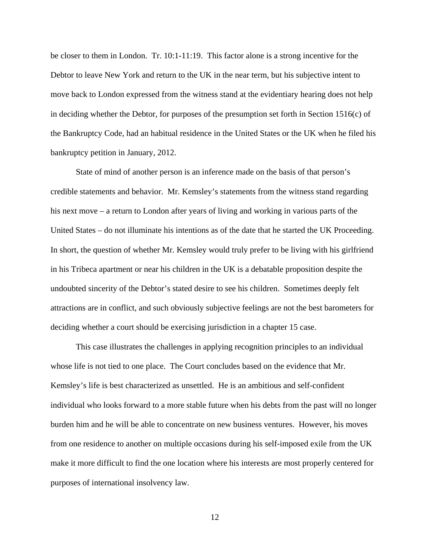be closer to them in London. Tr. 10:1-11:19. This factor alone is a strong incentive for the Debtor to leave New York and return to the UK in the near term, but his subjective intent to move back to London expressed from the witness stand at the evidentiary hearing does not help in deciding whether the Debtor, for purposes of the presumption set forth in Section 1516(c) of the Bankruptcy Code, had an habitual residence in the United States or the UK when he filed his bankruptcy petition in January, 2012.

State of mind of another person is an inference made on the basis of that person's credible statements and behavior. Mr. Kemsley's statements from the witness stand regarding his next move – a return to London after years of living and working in various parts of the United States – do not illuminate his intentions as of the date that he started the UK Proceeding. In short, the question of whether Mr. Kemsley would truly prefer to be living with his girlfriend in his Tribeca apartment or near his children in the UK is a debatable proposition despite the undoubted sincerity of the Debtor's stated desire to see his children. Sometimes deeply felt attractions are in conflict, and such obviously subjective feelings are not the best barometers for deciding whether a court should be exercising jurisdiction in a chapter 15 case.

This case illustrates the challenges in applying recognition principles to an individual whose life is not tied to one place. The Court concludes based on the evidence that Mr. Kemsley's life is best characterized as unsettled. He is an ambitious and self-confident individual who looks forward to a more stable future when his debts from the past will no longer burden him and he will be able to concentrate on new business ventures. However, his moves from one residence to another on multiple occasions during his self-imposed exile from the UK make it more difficult to find the one location where his interests are most properly centered for purposes of international insolvency law.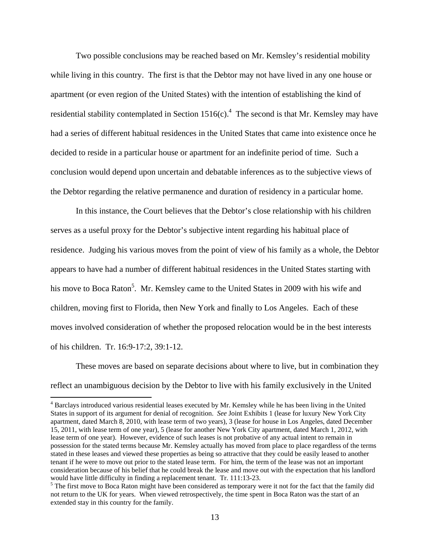Two possible conclusions may be reached based on Mr. Kemsley's residential mobility while living in this country. The first is that the Debtor may not have lived in any one house or apartment (or even region of the United States) with the intention of establishing the kind of residential stability contemplated in Section  $1516(c)$ .<sup>4</sup> The second is that Mr. Kemsley may have had a series of different habitual residences in the United States that came into existence once he decided to reside in a particular house or apartment for an indefinite period of time. Such a conclusion would depend upon uncertain and debatable inferences as to the subjective views of the Debtor regarding the relative permanence and duration of residency in a particular home.

In this instance, the Court believes that the Debtor's close relationship with his children serves as a useful proxy for the Debtor's subjective intent regarding his habitual place of residence. Judging his various moves from the point of view of his family as a whole, the Debtor appears to have had a number of different habitual residences in the United States starting with his move to Boca Raton<sup>5</sup>. Mr. Kemsley came to the United States in 2009 with his wife and children, moving first to Florida, then New York and finally to Los Angeles. Each of these moves involved consideration of whether the proposed relocation would be in the best interests of his children. Tr. 16:9-17:2, 39:1-12.

These moves are based on separate decisions about where to live, but in combination they reflect an unambiguous decision by the Debtor to live with his family exclusively in the United

<sup>&</sup>lt;sup>4</sup> Barclays introduced various residential leases executed by Mr. Kemsley while he has been living in the United States in support of its argument for denial of recognition. *See* Joint Exhibits 1 (lease for luxury New York City apartment, dated March 8, 2010, with lease term of two years), 3 (lease for house in Los Angeles, dated December 15, 2011, with lease term of one year), 5 (lease for another New York City apartment, dated March 1, 2012, with lease term of one year). However, evidence of such leases is not probative of any actual intent to remain in possession for the stated terms because Mr. Kemsley actually has moved from place to place regardless of the terms stated in these leases and viewed these properties as being so attractive that they could be easily leased to another tenant if he were to move out prior to the stated lease term. For him, the term of the lease was not an important consideration because of his belief that he could break the lease and move out with the expectation that his landlord would have little difficulty in finding a replacement tenant. Tr. 111:13-23.

<sup>&</sup>lt;sup>5</sup> The first move to Boca Raton might have been considered as temporary were it not for the fact that the family did not return to the UK for years. When viewed retrospectively, the time spent in Boca Raton was the start of an extended stay in this country for the family.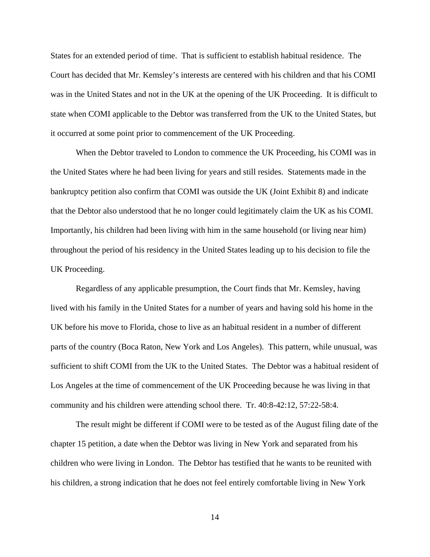States for an extended period of time. That is sufficient to establish habitual residence. The Court has decided that Mr. Kemsley's interests are centered with his children and that his COMI was in the United States and not in the UK at the opening of the UK Proceeding. It is difficult to state when COMI applicable to the Debtor was transferred from the UK to the United States, but it occurred at some point prior to commencement of the UK Proceeding.

When the Debtor traveled to London to commence the UK Proceeding, his COMI was in the United States where he had been living for years and still resides. Statements made in the bankruptcy petition also confirm that COMI was outside the UK (Joint Exhibit 8) and indicate that the Debtor also understood that he no longer could legitimately claim the UK as his COMI. Importantly, his children had been living with him in the same household (or living near him) throughout the period of his residency in the United States leading up to his decision to file the UK Proceeding.

Regardless of any applicable presumption, the Court finds that Mr. Kemsley, having lived with his family in the United States for a number of years and having sold his home in the UK before his move to Florida, chose to live as an habitual resident in a number of different parts of the country (Boca Raton, New York and Los Angeles). This pattern, while unusual, was sufficient to shift COMI from the UK to the United States. The Debtor was a habitual resident of Los Angeles at the time of commencement of the UK Proceeding because he was living in that community and his children were attending school there. Tr. 40:8-42:12, 57:22-58:4.

The result might be different if COMI were to be tested as of the August filing date of the chapter 15 petition, a date when the Debtor was living in New York and separated from his children who were living in London. The Debtor has testified that he wants to be reunited with his children, a strong indication that he does not feel entirely comfortable living in New York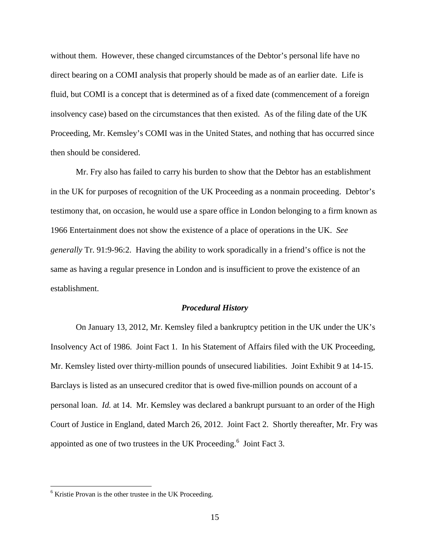without them. However, these changed circumstances of the Debtor's personal life have no direct bearing on a COMI analysis that properly should be made as of an earlier date. Life is fluid, but COMI is a concept that is determined as of a fixed date (commencement of a foreign insolvency case) based on the circumstances that then existed. As of the filing date of the UK Proceeding, Mr. Kemsley's COMI was in the United States, and nothing that has occurred since then should be considered.

Mr. Fry also has failed to carry his burden to show that the Debtor has an establishment in the UK for purposes of recognition of the UK Proceeding as a nonmain proceeding. Debtor's testimony that, on occasion, he would use a spare office in London belonging to a firm known as 1966 Entertainment does not show the existence of a place of operations in the UK. *See generally* Tr. 91:9-96:2. Having the ability to work sporadically in a friend's office is not the same as having a regular presence in London and is insufficient to prove the existence of an establishment.

#### *Procedural History*

 On January 13, 2012, Mr. Kemsley filed a bankruptcy petition in the UK under the UK's Insolvency Act of 1986. Joint Fact 1. In his Statement of Affairs filed with the UK Proceeding, Mr. Kemsley listed over thirty-million pounds of unsecured liabilities. Joint Exhibit 9 at 14-15. Barclays is listed as an unsecured creditor that is owed five-million pounds on account of a personal loan. *Id.* at 14. Mr. Kemsley was declared a bankrupt pursuant to an order of the High Court of Justice in England, dated March 26, 2012. Joint Fact 2. Shortly thereafter, Mr. Fry was appointed as one of two trustees in the UK Proceeding.<sup>6</sup> Joint Fact 3.

<sup>&</sup>lt;sup>6</sup> Kristie Provan is the other trustee in the UK Proceeding.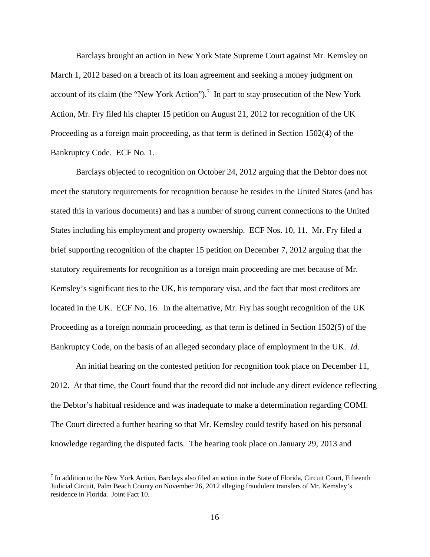Barclays brought an action in New York State Supreme Court against Mr. Kemsley on March 1, 2012 based on a breach of its loan agreement and seeking a money judgment on account of its claim (the "New York Action").<sup>7</sup> In part to stay prosecution of the New York Action, Mr. Fry filed his chapter 15 petition on August 21, 2012 for recognition of the UK Proceeding as a foreign main proceeding, as that term is defined in Section 1502(4) of the Bankruptcy Code. ECF No. 1.

Barclays objected to recognition on October 24, 2012 arguing that the Debtor does not meet the statutory requirements for recognition because he resides in the United States (and has stated this in various documents) and has a number of strong current connections to the United States including his employment and property ownership. ECF Nos. 10, 11. Mr. Fry filed a brief supporting recognition of the chapter 15 petition on December 7, 2012 arguing that the statutory requirements for recognition as a foreign main proceeding are met because of Mr. Kemsley's significant ties to the UK, his temporary visa, and the fact that most creditors are located in the UK. ECF No. 16. In the alternative, Mr. Fry has sought recognition of the UK Proceeding as a foreign nonmain proceeding, as that term is defined in Section 1502(5) of the Bankruptcy Code, on the basis of an alleged secondary place of employment in the UK. *Id.*

 An initial hearing on the contested petition for recognition took place on December 11, 2012. At that time, the Court found that the record did not include any direct evidence reflecting the Debtor's habitual residence and was inadequate to make a determination regarding COMI. The Court directed a further hearing so that Mr. Kemsley could testify based on his personal knowledge regarding the disputed facts. The hearing took place on January 29, 2013 and

 $<sup>7</sup>$  In addition to the New York Action, Barclays also filed an action in the State of Florida, Circuit Court, Fifteenth</sup> Judicial Circuit, Palm Beach County on November 26, 2012 alleging fraudulent transfers of Mr. Kemsley's residence in Florida. Joint Fact 10.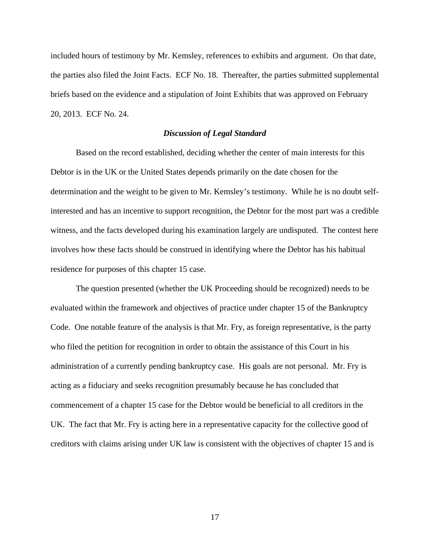included hours of testimony by Mr. Kemsley, references to exhibits and argument. On that date, the parties also filed the Joint Facts. ECF No. 18. Thereafter, the parties submitted supplemental briefs based on the evidence and a stipulation of Joint Exhibits that was approved on February 20, 2013. ECF No. 24.

### *Discussion of Legal Standard*

Based on the record established, deciding whether the center of main interests for this Debtor is in the UK or the United States depends primarily on the date chosen for the determination and the weight to be given to Mr. Kemsley's testimony. While he is no doubt selfinterested and has an incentive to support recognition, the Debtor for the most part was a credible witness, and the facts developed during his examination largely are undisputed. The contest here involves how these facts should be construed in identifying where the Debtor has his habitual residence for purposes of this chapter 15 case.

The question presented (whether the UK Proceeding should be recognized) needs to be evaluated within the framework and objectives of practice under chapter 15 of the Bankruptcy Code. One notable feature of the analysis is that Mr. Fry, as foreign representative, is the party who filed the petition for recognition in order to obtain the assistance of this Court in his administration of a currently pending bankruptcy case. His goals are not personal. Mr. Fry is acting as a fiduciary and seeks recognition presumably because he has concluded that commencement of a chapter 15 case for the Debtor would be beneficial to all creditors in the UK. The fact that Mr. Fry is acting here in a representative capacity for the collective good of creditors with claims arising under UK law is consistent with the objectives of chapter 15 and is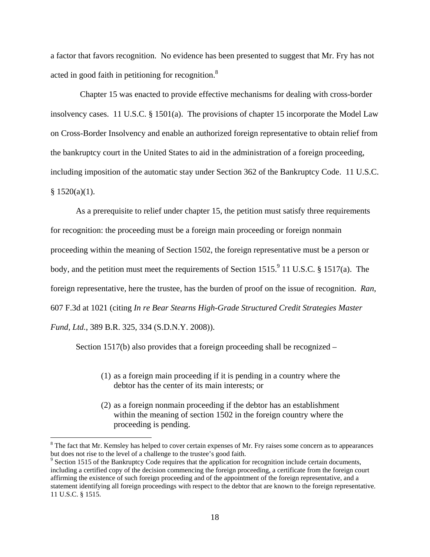a factor that favors recognition. No evidence has been presented to suggest that Mr. Fry has not acted in good faith in petitioning for recognition.<sup>8</sup>

 Chapter 15 was enacted to provide effective mechanisms for dealing with cross-border insolvency cases. 11 U.S.C. § 1501(a). The provisions of chapter 15 incorporate the Model Law on Cross-Border Insolvency and enable an authorized foreign representative to obtain relief from the bankruptcy court in the United States to aid in the administration of a foreign proceeding, including imposition of the automatic stay under Section 362 of the Bankruptcy Code. 11 U.S.C.  $§ 1520(a)(1).$ 

As a prerequisite to relief under chapter 15, the petition must satisfy three requirements for recognition: the proceeding must be a foreign main proceeding or foreign nonmain proceeding within the meaning of Section 1502, the foreign representative must be a person or body, and the petition must meet the requirements of Section 1515. <sup>9</sup> 11 U.S.C. § 1517(a). The foreign representative, here the trustee, has the burden of proof on the issue of recognition. *Ran*, 607 F.3d at 1021 (citing *In re Bear Stearns High-Grade Structured Credit Strategies Master Fund, Ltd.*, 389 B.R. 325, 334 (S.D.N.Y. 2008)).

Section 1517(b) also provides that a foreign proceeding shall be recognized –

- (1) as a foreign main proceeding if it is pending in a country where the debtor has the center of its main interests; or
- (2) as a foreign nonmain proceeding if the debtor has an establishment within the meaning of section 1502 in the foreign country where the proceeding is pending.

 $8$  The fact that Mr. Kemsley has helped to cover certain expenses of Mr. Fry raises some concern as to appearances but does not rise to the level of a challenge to the trustee's good faith.

<sup>&</sup>lt;sup>9</sup> Section 1515 of the Bankruptcy Code requires that the application for recognition include certain documents, including a certified copy of the decision commencing the foreign proceeding, a certificate from the foreign court affirming the existence of such foreign proceeding and of the appointment of the foreign representative, and a statement identifying all foreign proceedings with respect to the debtor that are known to the foreign representative. 11 U.S.C. § 1515.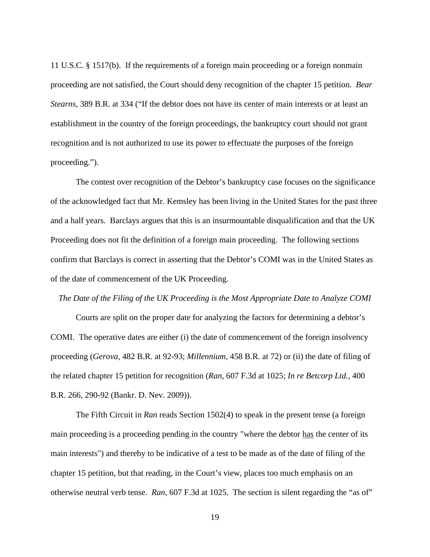11 U.S.C. § 1517(b). If the requirements of a foreign main proceeding or a foreign nonmain proceeding are not satisfied, the Court should deny recognition of the chapter 15 petition. *Bear Stearns*, 389 B.R. at 334 ("If the debtor does not have its center of main interests or at least an establishment in the country of the foreign proceedings, the bankruptcy court should not grant recognition and is not authorized to use its power to effectuate the purposes of the foreign proceeding.").

 The contest over recognition of the Debtor's bankruptcy case focuses on the significance of the acknowledged fact that Mr. Kemsley has been living in the United States for the past three and a half years. Barclays argues that this is an insurmountable disqualification and that the UK Proceeding does not fit the definition of a foreign main proceeding. The following sections confirm that Barclays is correct in asserting that the Debtor's COMI was in the United States as of the date of commencement of the UK Proceeding.

*The Date of the Filing of the UK Proceeding is the Most Appropriate Date to Analyze COMI* 

Courts are split on the proper date for analyzing the factors for determining a debtor's COMI. The operative dates are either (i) the date of commencement of the foreign insolvency proceeding (*Gerova*, 482 B.R. at 92-93; *Millennium*, 458 B.R. at 72) or (ii) the date of filing of the related chapter 15 petition for recognition (*Ran*, 607 F.3d at 1025; *In re Betcorp Ltd.*, 400 B.R. 266, 290-92 (Bankr. D. Nev. 2009)).

The Fifth Circuit in *Ran* reads Section 1502(4) to speak in the present tense (a foreign main proceeding is a proceeding pending in the country "where the debtor has the center of its main interests") and thereby to be indicative of a test to be made as of the date of filing of the chapter 15 petition, but that reading, in the Court's view, places too much emphasis on an otherwise neutral verb tense. *Ran*, 607 F.3d at 1025. The section is silent regarding the "as of"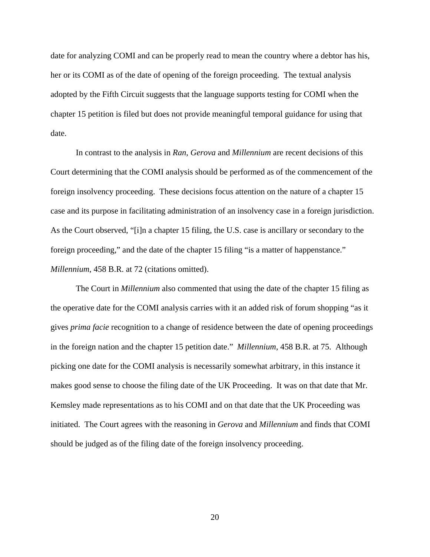date for analyzing COMI and can be properly read to mean the country where a debtor has his, her or its COMI as of the date of opening of the foreign proceeding. The textual analysis adopted by the Fifth Circuit suggests that the language supports testing for COMI when the chapter 15 petition is filed but does not provide meaningful temporal guidance for using that date.

In contrast to the analysis in *Ran*, *Gerova* and *Millennium* are recent decisions of this Court determining that the COMI analysis should be performed as of the commencement of the foreign insolvency proceeding. These decisions focus attention on the nature of a chapter 15 case and its purpose in facilitating administration of an insolvency case in a foreign jurisdiction. As the Court observed, "[i]n a chapter 15 filing, the U.S. case is ancillary or secondary to the foreign proceeding," and the date of the chapter 15 filing "is a matter of happenstance." *Millennium*, 458 B.R. at 72 (citations omitted).

The Court in *Millennium* also commented that using the date of the chapter 15 filing as the operative date for the COMI analysis carries with it an added risk of forum shopping "as it gives *prima facie* recognition to a change of residence between the date of opening proceedings in the foreign nation and the chapter 15 petition date." *Millennium*, 458 B.R. at 75. Although picking one date for the COMI analysis is necessarily somewhat arbitrary, in this instance it makes good sense to choose the filing date of the UK Proceeding. It was on that date that Mr. Kemsley made representations as to his COMI and on that date that the UK Proceeding was initiated. The Court agrees with the reasoning in *Gerova* and *Millennium* and finds that COMI should be judged as of the filing date of the foreign insolvency proceeding.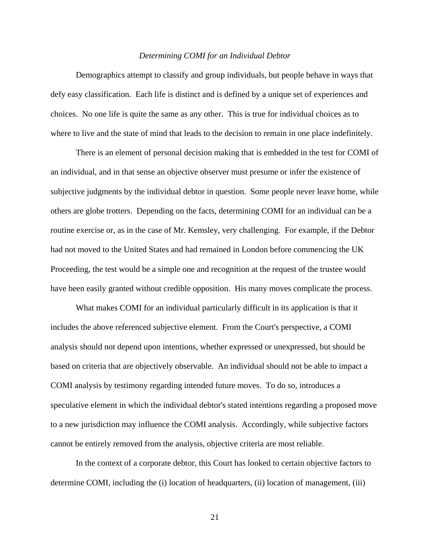#### *Determining COMI for an Individual Debtor*

 Demographics attempt to classify and group individuals, but people behave in ways that defy easy classification. Each life is distinct and is defined by a unique set of experiences and choices. No one life is quite the same as any other. This is true for individual choices as to where to live and the state of mind that leads to the decision to remain in one place indefinitely.

There is an element of personal decision making that is embedded in the test for COMI of an individual, and in that sense an objective observer must presume or infer the existence of subjective judgments by the individual debtor in question. Some people never leave home, while others are globe trotters. Depending on the facts, determining COMI for an individual can be a routine exercise or, as in the case of Mr. Kemsley, very challenging. For example, if the Debtor had not moved to the United States and had remained in London before commencing the UK Proceeding, the test would be a simple one and recognition at the request of the trustee would have been easily granted without credible opposition. His many moves complicate the process.

 What makes COMI for an individual particularly difficult in its application is that it includes the above referenced subjective element. From the Court's perspective, a COMI analysis should not depend upon intentions, whether expressed or unexpressed, but should be based on criteria that are objectively observable. An individual should not be able to impact a COMI analysis by testimony regarding intended future moves. To do so, introduces a speculative element in which the individual debtor's stated intentions regarding a proposed move to a new jurisdiction may influence the COMI analysis. Accordingly, while subjective factors cannot be entirely removed from the analysis, objective criteria are most reliable.

In the context of a corporate debtor, this Court has looked to certain objective factors to determine COMI, including the (i) location of headquarters, (ii) location of management, (iii)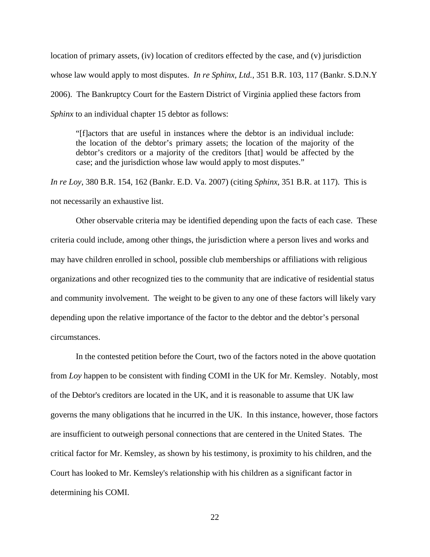location of primary assets, (iv) location of creditors effected by the case, and (v) jurisdiction whose law would apply to most disputes. *In re Sphinx, Ltd.*, 351 B.R. 103, 117 (Bankr. S.D.N.Y 2006). The Bankruptcy Court for the Eastern District of Virginia applied these factors from *Sphinx* to an individual chapter 15 debtor as follows:

"[f]actors that are useful in instances where the debtor is an individual include: the location of the debtor's primary assets; the location of the majority of the debtor's creditors or a majority of the creditors [that] would be affected by the case; and the jurisdiction whose law would apply to most disputes."

*In re Loy*, 380 B.R. 154, 162 (Bankr. E.D. Va. 2007) (citing *Sphinx*, 351 B.R. at 117). This is not necessarily an exhaustive list.

Other observable criteria may be identified depending upon the facts of each case. These criteria could include, among other things, the jurisdiction where a person lives and works and may have children enrolled in school, possible club memberships or affiliations with religious organizations and other recognized ties to the community that are indicative of residential status and community involvement. The weight to be given to any one of these factors will likely vary depending upon the relative importance of the factor to the debtor and the debtor's personal circumstances.

In the contested petition before the Court, two of the factors noted in the above quotation from *Loy* happen to be consistent with finding COMI in the UK for Mr. Kemsley. Notably, most of the Debtor's creditors are located in the UK, and it is reasonable to assume that UK law governs the many obligations that he incurred in the UK. In this instance, however, those factors are insufficient to outweigh personal connections that are centered in the United States. The critical factor for Mr. Kemsley, as shown by his testimony, is proximity to his children, and the Court has looked to Mr. Kemsley's relationship with his children as a significant factor in determining his COMI.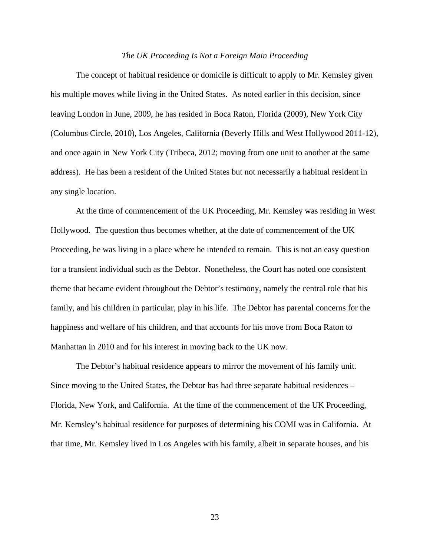#### *The UK Proceeding Is Not a Foreign Main Proceeding*

The concept of habitual residence or domicile is difficult to apply to Mr. Kemsley given his multiple moves while living in the United States. As noted earlier in this decision, since leaving London in June, 2009, he has resided in Boca Raton, Florida (2009), New York City (Columbus Circle, 2010), Los Angeles, California (Beverly Hills and West Hollywood 2011-12), and once again in New York City (Tribeca, 2012; moving from one unit to another at the same address). He has been a resident of the United States but not necessarily a habitual resident in any single location.

At the time of commencement of the UK Proceeding, Mr. Kemsley was residing in West Hollywood. The question thus becomes whether, at the date of commencement of the UK Proceeding, he was living in a place where he intended to remain. This is not an easy question for a transient individual such as the Debtor. Nonetheless, the Court has noted one consistent theme that became evident throughout the Debtor's testimony, namely the central role that his family, and his children in particular, play in his life. The Debtor has parental concerns for the happiness and welfare of his children, and that accounts for his move from Boca Raton to Manhattan in 2010 and for his interest in moving back to the UK now.

The Debtor's habitual residence appears to mirror the movement of his family unit. Since moving to the United States, the Debtor has had three separate habitual residences – Florida, New York, and California. At the time of the commencement of the UK Proceeding, Mr. Kemsley's habitual residence for purposes of determining his COMI was in California. At that time, Mr. Kemsley lived in Los Angeles with his family, albeit in separate houses, and his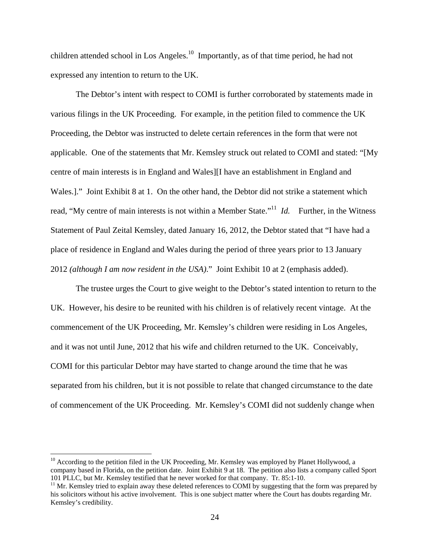children attended school in Los Angeles.<sup>10</sup> Importantly, as of that time period, he had not expressed any intention to return to the UK.

The Debtor's intent with respect to COMI is further corroborated by statements made in various filings in the UK Proceeding. For example, in the petition filed to commence the UK Proceeding, the Debtor was instructed to delete certain references in the form that were not applicable. One of the statements that Mr. Kemsley struck out related to COMI and stated: "[My centre of main interests is in England and Wales][I have an establishment in England and Wales.]." Joint Exhibit 8 at 1. On the other hand, the Debtor did not strike a statement which read, "My centre of main interests is not within a Member State."<sup>11</sup> *Id.* Further, in the Witness Statement of Paul Zeital Kemsley, dated January 16, 2012, the Debtor stated that "I have had a place of residence in England and Wales during the period of three years prior to 13 January 2012 *(although I am now resident in the USA)*." Joint Exhibit 10 at 2 (emphasis added).

The trustee urges the Court to give weight to the Debtor's stated intention to return to the UK. However, his desire to be reunited with his children is of relatively recent vintage. At the commencement of the UK Proceeding, Mr. Kemsley's children were residing in Los Angeles, and it was not until June, 2012 that his wife and children returned to the UK. Conceivably, COMI for this particular Debtor may have started to change around the time that he was separated from his children, but it is not possible to relate that changed circumstance to the date of commencement of the UK Proceeding. Mr. Kemsley's COMI did not suddenly change when

 $10$  According to the petition filed in the UK Proceeding, Mr. Kemsley was employed by Planet Hollywood, a company based in Florida, on the petition date. Joint Exhibit 9 at 18. The petition also lists a company called Sport 101 PLLC, but Mr. Kemsley testified that he never worked for that company. Tr. 85:1-10.

 $11$  Mr. Kemsley tried to explain away these deleted references to COMI by suggesting that the form was prepared by his solicitors without his active involvement. This is one subject matter where the Court has doubts regarding Mr. Kemsley's credibility.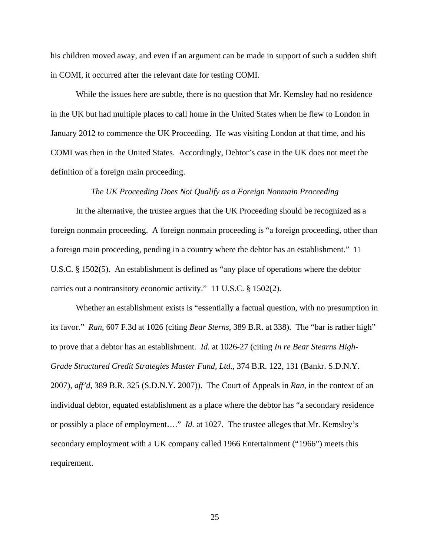his children moved away, and even if an argument can be made in support of such a sudden shift in COMI, it occurred after the relevant date for testing COMI.

While the issues here are subtle, there is no question that Mr. Kemsley had no residence in the UK but had multiple places to call home in the United States when he flew to London in January 2012 to commence the UK Proceeding. He was visiting London at that time, and his COMI was then in the United States. Accordingly, Debtor's case in the UK does not meet the definition of a foreign main proceeding.

#### *The UK Proceeding Does Not Qualify as a Foreign Nonmain Proceeding*

In the alternative, the trustee argues that the UK Proceeding should be recognized as a foreign nonmain proceeding. A foreign nonmain proceeding is "a foreign proceeding, other than a foreign main proceeding, pending in a country where the debtor has an establishment." 11 U.S.C. § 1502(5). An establishment is defined as "any place of operations where the debtor carries out a nontransitory economic activity." 11 U.S.C. § 1502(2).

Whether an establishment exists is "essentially a factual question, with no presumption in its favor." *Ran*, 607 F.3d at 1026 (citing *Bear Sterns*, 389 B.R. at 338). The "bar is rather high" to prove that a debtor has an establishment. *Id.* at 1026-27 (citing *In re Bear Stearns High-Grade Structured Credit Strategies Master Fund, Ltd.*, 374 B.R. 122, 131 (Bankr. S.D.N.Y. 2007), *aff'd*, 389 B.R. 325 (S.D.N.Y. 2007)). The Court of Appeals in *Ran*, in the context of an individual debtor, equated establishment as a place where the debtor has "a secondary residence or possibly a place of employment…." *Id.* at 1027. The trustee alleges that Mr. Kemsley's secondary employment with a UK company called 1966 Entertainment ("1966") meets this requirement.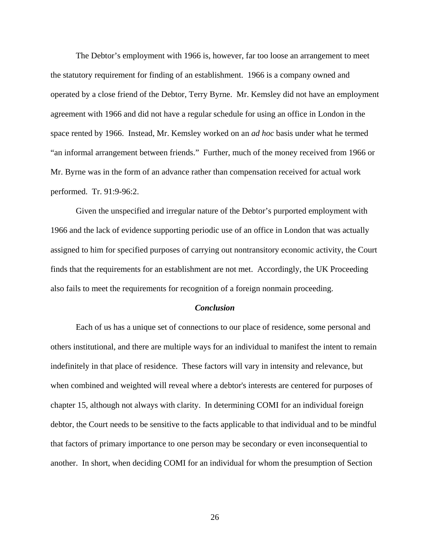The Debtor's employment with 1966 is, however, far too loose an arrangement to meet the statutory requirement for finding of an establishment. 1966 is a company owned and operated by a close friend of the Debtor, Terry Byrne. Mr. Kemsley did not have an employment agreement with 1966 and did not have a regular schedule for using an office in London in the space rented by 1966. Instead, Mr. Kemsley worked on an *ad hoc* basis under what he termed "an informal arrangement between friends." Further, much of the money received from 1966 or Mr. Byrne was in the form of an advance rather than compensation received for actual work performed. Tr. 91:9-96:2.

Given the unspecified and irregular nature of the Debtor's purported employment with 1966 and the lack of evidence supporting periodic use of an office in London that was actually assigned to him for specified purposes of carrying out nontransitory economic activity, the Court finds that the requirements for an establishment are not met. Accordingly, the UK Proceeding also fails to meet the requirements for recognition of a foreign nonmain proceeding.

#### *Conclusion*

Each of us has a unique set of connections to our place of residence, some personal and others institutional, and there are multiple ways for an individual to manifest the intent to remain indefinitely in that place of residence. These factors will vary in intensity and relevance, but when combined and weighted will reveal where a debtor's interests are centered for purposes of chapter 15, although not always with clarity. In determining COMI for an individual foreign debtor, the Court needs to be sensitive to the facts applicable to that individual and to be mindful that factors of primary importance to one person may be secondary or even inconsequential to another. In short, when deciding COMI for an individual for whom the presumption of Section